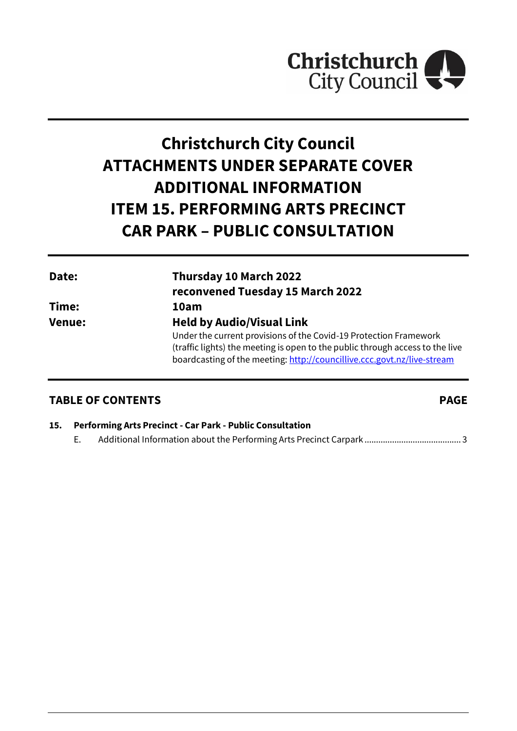

## **Christchurch City Council ATTACHMENTS UNDER SEPARATE COVER ADDITIONAL INFORMATION ITEM 15. PERFORMING ARTS PRECINCT CAR PARK – PUBLIC CONSULTATION**

| Date:         | Thursday 10 March 2022<br>reconvened Tuesday 15 March 2022                                                                                                                                                                                                        |  |  |  |
|---------------|-------------------------------------------------------------------------------------------------------------------------------------------------------------------------------------------------------------------------------------------------------------------|--|--|--|
| Time:         | 10am                                                                                                                                                                                                                                                              |  |  |  |
| <b>Venue:</b> | <b>Held by Audio/Visual Link</b><br>Under the current provisions of the Covid-19 Protection Framework<br>(traffic lights) the meeting is open to the public through access to the live<br>boardcasting of the meeting: http://councillive.ccc.govt.nz/live-stream |  |  |  |

### **TABLE OF CONTENTS PAGE**

**15. Performing Arts Precinct - Car Park - Public Consultation** E. Additional Information about the Performing Arts Precinct Carpark .......................................... [3](#page-2-0)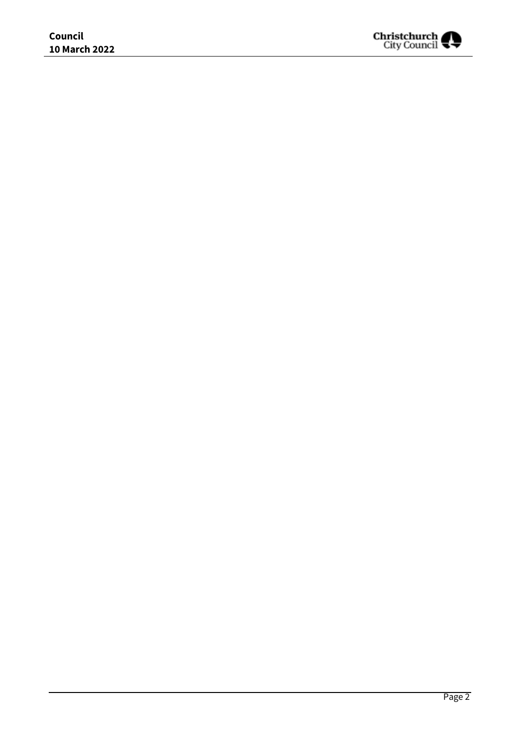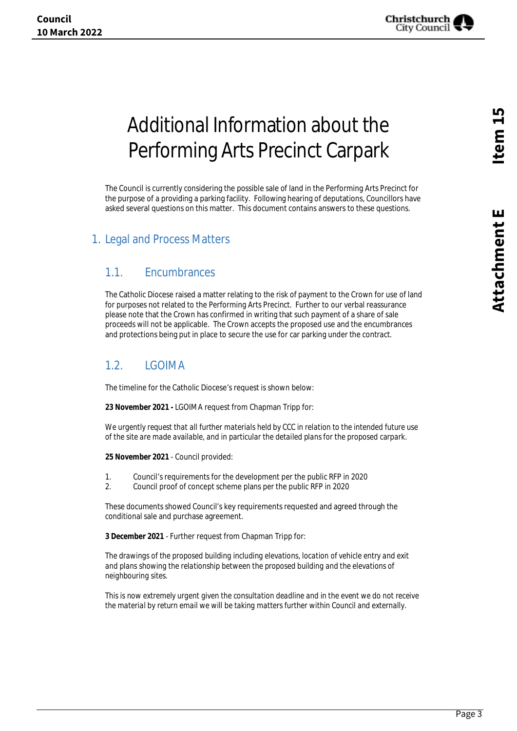# <span id="page-2-0"></span>Additional Information about the Performing Arts Precinct Carpark

The Council is currently considering the possible sale of land in the Performing Arts Precinct for the purpose of a providing a parking facility. Following hearing of deputations, Councillors have asked several questions on this matter. This document contains answers to these questions.

### 1. Legal and Process Matters

### 1.1. Encumbrances

The Catholic Diocese raised a matter relating to the risk of payment to the Crown for use of land for purposes not related to the Performing Arts Precinct. Further to our verbal reassurance please note that the Crown has confirmed in writing that such payment of a share of sale proceeds will not be applicable. The Crown accepts the proposed use and the encumbrances and protections being put in place to secure the use for car parking under the contract.

### 1.2. LGOIMA

The timeline for the Catholic Diocese's request is shown below:

**23 November 2021 -** LGOIMA request from Chapman Tripp for:

*We urgently request that all further materials held by CCC in relation to the intended future use of the site are made available, and in particular the detailed plans for the proposed carpark.*

**25 November 2021** - Council provided:

- 1. Council's requirements for the development per the public RFP in 2020
- 2. Council proof of concept scheme plans per the public RFP in 2020

These documents showed Council's key requirements requested and agreed through the conditional sale and purchase agreement.

**3 December 2021** - Further request from Chapman Tripp for:

*The drawings of the proposed building including elevations, location of vehicle entry and exit and plans showing the relationship between the proposed building and the elevations of neighbouring sites.*

*This is now extremely urgent given the consultation deadline and in the event we do not receive the material by return email we will be taking matters further within Council and externally.*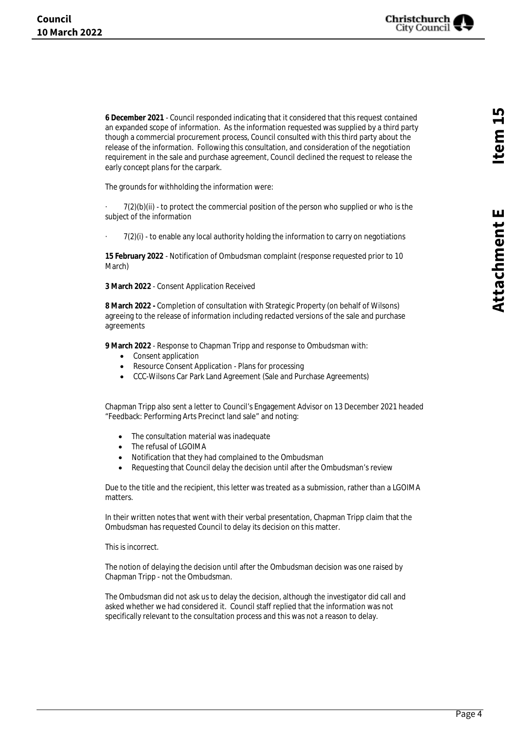**6 December 2021** - Council responded indicating that it considered that this request contained an expanded scope of information. As the information requested was supplied by a third party though a commercial procurement process, Council consulted with this third party about the release of the information. Following this consultation, and consideration of the negotiation requirement in the sale and purchase agreement, Council declined the request to release the early concept plans for the carpark.

The grounds for withholding the information were:

 $7(2)(b)(ii)$  - to protect the commercial position of the person who supplied or who is the subject of the information

· 7(2)(i) - to enable any local authority holding the information to carry on negotiations

**15 February 2022** - Notification of Ombudsman complaint (response requested prior to 10 March)

**3 March 2022** - Consent Application Received

**8 March 2022 -** Completion of consultation with Strategic Property (on behalf of Wilsons) agreeing to the release of information including redacted versions of the sale and purchase agreements

**9 March 2022** - Response to Chapman Tripp and response to Ombudsman with:

- Consent application
- Resource Consent Application Plans for processing
- CCC-Wilsons Car Park Land Agreement (Sale and Purchase Agreements)

Chapman Tripp also sent a letter to Council's Engagement Advisor on 13 December 2021 headed "Feedback: Performing Arts Precinct land sale" and noting:

- The consultation material was inadequate
- The refusal of LGOIMA
- Notification that they had complained to the Ombudsman
- Requesting that Council delay the decision until after the Ombudsman's review

Due to the title and the recipient, this letter was treated as a submission, rather than a LGOIMA matters.

In their written notes that went with their verbal presentation, Chapman Tripp claim that the Ombudsman has requested Council to delay its decision on this matter.

This is incorrect.

The notion of delaying the decision until after the Ombudsman decision was one raised by Chapman Tripp - not the Ombudsman.

The Ombudsman did not ask us to delay the decision, although the investigator did call and asked whether we had considered it. Council staff replied that the information was not specifically relevant to the consultation process and this was not a reason to delay.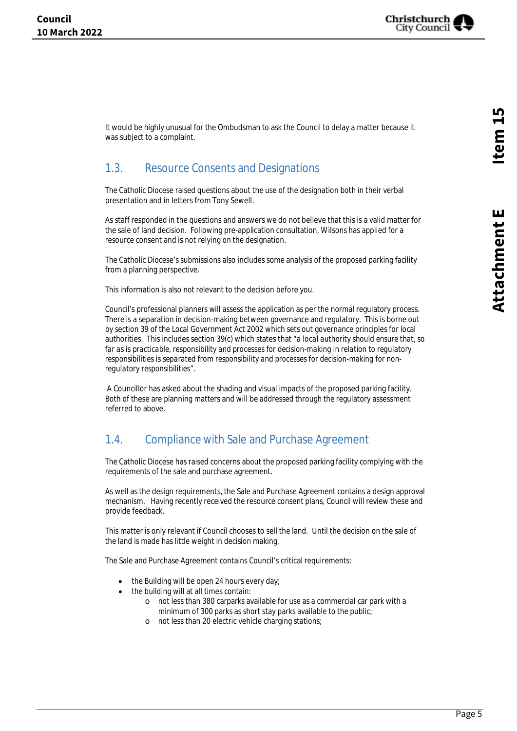It would be highly unusual for the Ombudsman to ask the Council to delay a matter because it was subject to a complaint.

### 1.3. Resource Consents and Designations

The Catholic Diocese raised questions about the use of the designation both in their verbal presentation and in letters from Tony Sewell.

As staff responded in the questions and answers we do not believe that this is a valid matter for the sale of land decision. Following pre-application consultation, Wilsons has applied for a resource consent and is not relying on the designation.

The Catholic Diocese's submissions also includes some analysis of the proposed parking facility from a planning perspective.

This information is also not relevant to the decision before you.

Council's professional planners will assess the application as per the normal regulatory process. There is a separation in decision-making between governance and regulatory. This is borne out by section 39 of the Local Government Act 2002 which sets out governance principles for local authorities. This includes section 39(c) which states that "*a local authority should ensure that, so far as is practicable, responsibility and processes for decision-making in relation to regulatory responsibilities is separated from responsibility and processes for decision-making for nonregulatory responsibilities*".

 A Councillor has asked about the shading and visual impacts of the proposed parking facility. Both of these are planning matters and will be addressed through the regulatory assessment referred to above.

### 1.4. Compliance with Sale and Purchase Agreement

The Catholic Diocese has raised concerns about the proposed parking facility complying with the requirements of the sale and purchase agreement.

As well as the design requirements, the Sale and Purchase Agreement contains a design approval mechanism. Having recently received the resource consent plans, Council will review these and provide feedback.

This matter is only relevant if Council chooses to sell the land. Until the decision on the sale of the land is made has little weight in decision making.

The Sale and Purchase Agreement contains Council's critical requirements:

- the Building will be open 24 hours every day;
	- the building will at all times contain:
		- o not less than 380 carparks available for use as a commercial car park with a minimum of 300 parks as short stay parks available to the public;
		- o not less than 20 electric vehicle charging stations;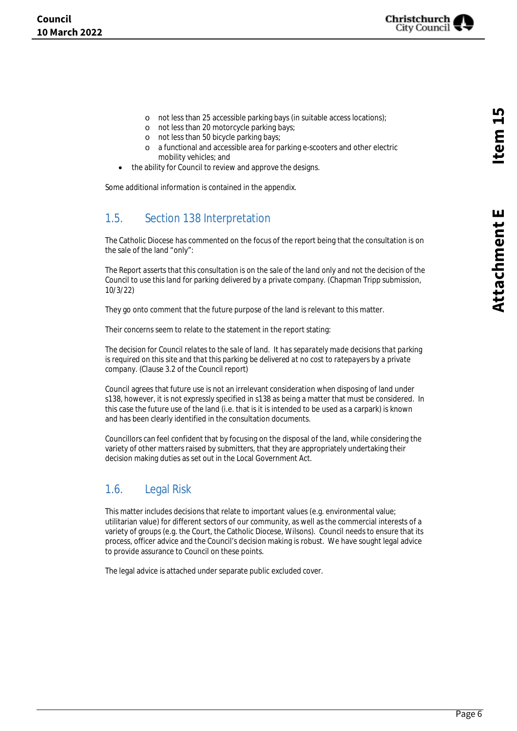- o not less than 25 accessible parking bays (in suitable access locations);
- o not less than 20 motorcycle parking bays;
- o not less than 50 bicycle parking bays;
- o a functional and accessible area for parking e-scooters and other electric mobility vehicles; and
- the ability for Council to review and approve the designs.

Some additional information is contained in the appendix.

## 1.5. Section 138 Interpretation

The Catholic Diocese has commented on the focus of the report being that the consultation is on the sale of the land "only":

*The Report asserts that this consultation is on the sale of the land only and not the decision of the Council to use this land for parking delivered by a private company.* (Chapman Tripp submission, 10/3/22)

They go onto comment that the future purpose of the land is relevant to this matter.

Their concerns seem to relate to the statement in the report stating:

*The decision for Council relates to the sale of land. It has separately made decisions that parking is required on this site and that this parking be delivered at no cost to ratepayers by a private company.* (Clause 3.2 of the Council report)

Council agrees that future use is not an irrelevant consideration when disposing of land under s138, however, it is not expressly specified in s138 as being a matter that must be considered. In this case the future use of the land (i.e. that is it is intended to be used as a carpark) is known and has been clearly identified in the consultation documents.

Councillors can feel confident that by focusing on the disposal of the land, while considering the variety of other matters raised by submitters, that they are appropriately undertaking their decision making duties as set out in the Local Government Act.

### 1.6. Legal Risk

This matter includes decisions that relate to important values (e.g. environmental value; utilitarian value) for different sectors of our community, as well as the commercial interests of a variety of groups (e.g. the Court, the Catholic Diocese, Wilsons). Council needs to ensure that its process, officer advice and the Council's decision making is robust. We have sought legal advice to provide assurance to Council on these points.

The legal advice is attached under separate public excluded cover.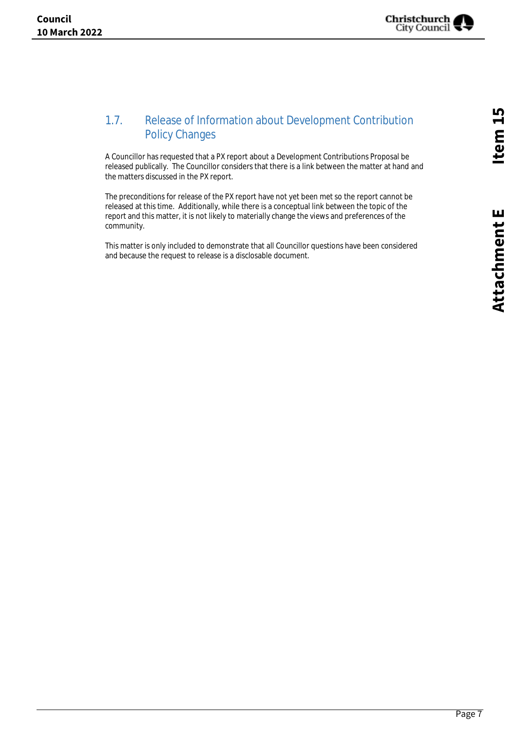### 1.7. Release of Information about Development Contribution Policy Changes

A Councillor has requested that a PX report about a Development Contributions Proposal be released publically. The Councillor considers that there is a link between the matter at hand and the matters discussed in the PX report.

The preconditions for release of the PX report have not yet been met so the report cannot be released at this time. Additionally, while there is a conceptual link between the topic of the report and this matter, it is not likely to materially change the views and preferences of the community.

This matter is only included to demonstrate that all Councillor questions have been considered and because the request to release is a disclosable document.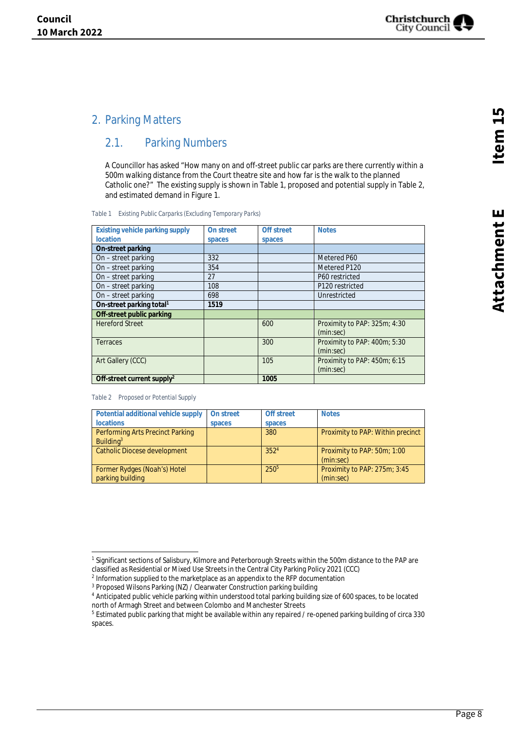### 2. Parking Matters

### 2.1. Parking Numbers

A Councillor has asked "How many on and off-street public car parks are there currently within a 500m walking distance from the Court theatre site and how far is the walk to the planned Catholic one?" The existing supply is shown in Table 1, proposed and potential supply in Table 2, and estimated demand in Figure 1.

| Table 1 |  | <b>Existing Public Carparks (Excluding Temporary Parks)</b> |
|---------|--|-------------------------------------------------------------|
|         |  |                                                             |

| Existing vehicle parking supply        | On street | Off street | <b>Notes</b>                              |
|----------------------------------------|-----------|------------|-------------------------------------------|
| <b>location</b>                        | spaces    | spaces     |                                           |
| On-street parking                      |           |            |                                           |
| On - street parking                    | 332       |            | Metered P60                               |
| On - street parking                    | 354       |            | Metered P120                              |
| On - street parking                    | 27        |            | P60 restricted                            |
| On – street parking                    | 108       |            | P120 restricted                           |
| On - street parking                    | 698       |            | Unrestricted                              |
| On-street parking total <sup>1</sup>   | 1519      |            |                                           |
| Off-street public parking              |           |            |                                           |
| <b>Hereford Street</b>                 |           | 600        | Proximity to PAP: 325m; 4:30<br>(min:sec) |
| Terraces                               |           | 300        | Proximity to PAP: 400m; 5:30<br>(min:sec) |
| Art Gallery (CCC)                      |           | 105        | Proximity to PAP: 450m; 6:15<br>(min:sec) |
| Off-street current supply <sup>2</sup> |           | 1005       |                                           |

*Table 2 Proposed or Potential Supply*

| Potential additional vehicle supply | On street | Off street       | <b>Notes</b>                      |
|-------------------------------------|-----------|------------------|-----------------------------------|
| <b>locations</b>                    | spaces    | spaces           |                                   |
| Performing Arts Precinct Parking    |           | 380              | Proximity to PAP: Within precinct |
| Building <sup>3</sup>               |           |                  |                                   |
| Catholic Diocese development        |           | 352 <sup>4</sup> | Proximity to PAP: 50m; 1:00       |
|                                     |           |                  | (min:sec)                         |
| Former Rydges (Noah's) Hotel        |           | 250 <sup>5</sup> | Proximity to PAP: 275m; 3:45      |
| parking building                    |           |                  | (min:sec)                         |

<sup>1</sup> Significant sections of Salisbury, Kilmore and Peterborough Streets within the 500m distance to the PAP are classified as Residential or Mixed Use Streets in the Central City Parking Policy 2021 (CCC)

<sup>&</sup>lt;sup>2</sup> Information supplied to the marketplace as an appendix to the RFP documentation

<sup>&</sup>lt;sup>3</sup> Proposed Wilsons Parking (NZ) / Clearwater Construction parking building

<sup>4</sup> Anticipated public vehicle parking within understood total parking building size of 600 spaces, to be located north of Armagh Street and between Colombo and Manchester Streets

<sup>5</sup> Estimated public parking that might be available within any repaired / re-opened parking building of circa 330 spaces.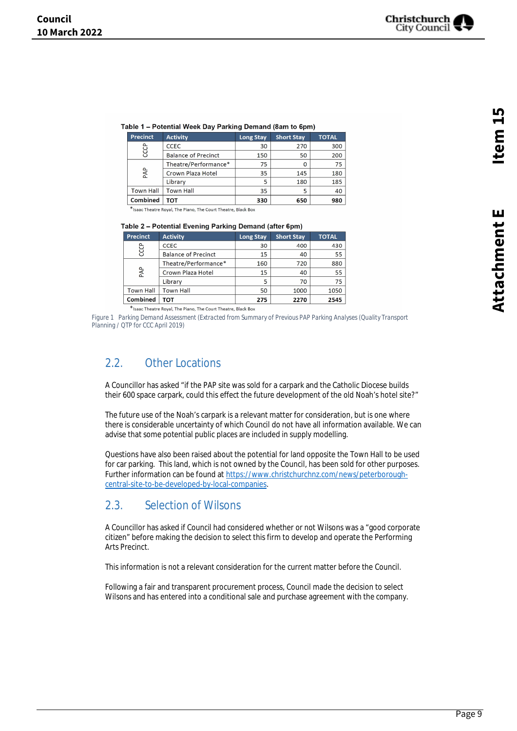#### Table 1 - Potential Week Day Parking Demand (8am to 6pm)

| <b>Precinct</b>  | <b>Activity</b>            | <b>Long Stay</b> | <b>Short Stay</b> | <b>TOTAL</b> |
|------------------|----------------------------|------------------|-------------------|--------------|
| CCCP             | <b>CCEC</b>                | 30               | 270               | 300          |
|                  | <b>Balance of Precinct</b> | 150              | 50                | 200          |
| PAP              | Theatre/Performance*       | 75               | $\Omega$          | 75           |
|                  | Crown Plaza Hotel          | 35               | 145               | 180          |
|                  | Library                    | 5                | 180               | 185          |
| <b>Town Hall</b> | <b>Town Hall</b>           |                  | 5                 | 40           |
| Combined         | тот                        | 330              | 650               | 980          |

\* Isaac Theatre Royal, The Piano, The Court Theatre, Black Box

#### Table 2 - Potential Evening Parking Demand (after 6pm)

| <b>Precinct</b>  | <b>Activity</b>            | <b>Long Stay</b> | <b>Short Stay</b> | <b>TOTAL</b> |
|------------------|----------------------------|------------------|-------------------|--------------|
|                  | <b>CCEC</b>                | 30               | 400               | 430          |
| CCCP             | <b>Balance of Precinct</b> | 15               | 40                | 55           |
| PAP              | Theatre/Performance*       | 160              | 720               | 880          |
|                  | Crown Plaza Hotel          | 15               | 40                | 55           |
|                  | Library                    | 5                | 70                | 75           |
| <b>Town Hall</b> | <b>Town Hall</b>           | 50               | 1000              | 1050         |
| Combined         | тот                        | 275              | 2270              | 2545         |

\* Isaac Theatre Royal, The Piano, The Court Theatre, Black Box

*Figure 1 Parking Demand Assessment (Extracted from Summary of Previous PAP Parking Analyses (Quality Transport Planning / QTP for CCC April 2019)*

### 2.2. Other Locations

A Councillor has asked "if the PAP site was sold for a carpark and the Catholic Diocese builds their 600 space carpark, could this effect the future development of the old Noah's hotel site?"

The future use of the Noah's carpark is a relevant matter for consideration, but is one where there is considerable uncertainty of which Council do not have all information available. We can advise that some potential public places are included in supply modelling.

Questions have also been raised about the potential for land opposite the Town Hall to be used for car parking. This land, which is not owned by the Council, has been sold for other purposes. Further information can be found at https://www.christchurchnz.com/news/peterboroughcentral-site-to-be-developed-by-local-companies.

### 2.3. Selection of Wilsons

A Councillor has asked if Council had considered whether or not Wilsons was a "good corporate citizen" before making the decision to select this firm to develop and operate the Performing Arts Precinct.

This information is not a relevant consideration for the current matter before the Council.

Following a fair and transparent procurement process, Council made the decision to select Wilsons and has entered into a conditional sale and purchase agreement with the company.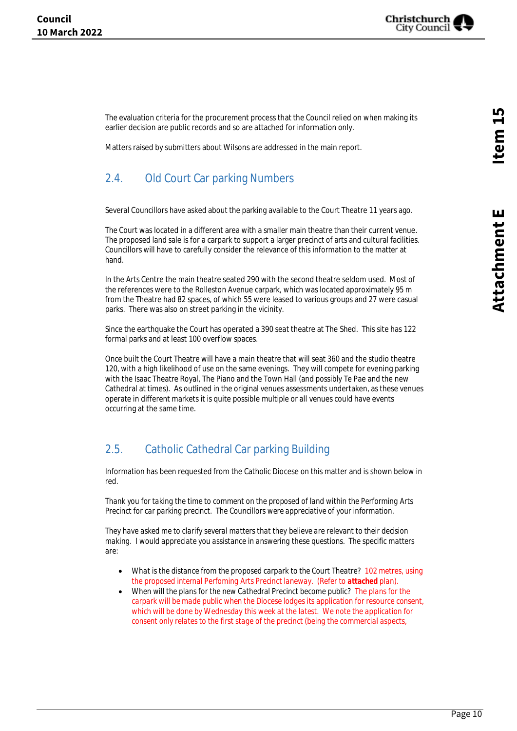Item<sub>15</sub>

The evaluation criteria for the procurement process that the Council relied on when making its earlier decision are public records and so are attached for information only.

Matters raised by submitters about Wilsons are addressed in the main report.

### 2.4. Old Court Car parking Numbers

Several Councillors have asked about the parking available to the Court Theatre 11 years ago.

The Court was located in a different area with a smaller main theatre than their current venue. The proposed land sale is for a carpark to support a larger precinct of arts and cultural facilities. Councillors will have to carefully consider the relevance of this information to the matter at hand.

In the Arts Centre the main theatre seated 290 with the second theatre seldom used. Most of the references were to the Rolleston Avenue carpark, which was located approximately 95 m from the Theatre had 82 spaces, of which 55 were leased to various groups and 27 were casual parks. There was also on street parking in the vicinity.

Since the earthquake the Court has operated a 390 seat theatre at The Shed. This site has 122 formal parks and at least 100 overflow spaces.

Once built the Court Theatre will have a main theatre that will seat 360 and the studio theatre 120, with a high likelihood of use on the same evenings. They will compete for evening parking with the Isaac Theatre Royal, The Piano and the Town Hall (and possibly Te Pae and the new Cathedral at times). As outlined in the original venues assessments undertaken, as these venues operate in different markets it is quite possible multiple or all venues could have events occurring at the same time.

### 2.5. Catholic Cathedral Car parking Building

Information has been requested from the Catholic Diocese on this matter and is shown below in red.

*Thank you for taking the time to comment on the proposed of land within the Performing Arts Precinct for car parking precinct. The Councillors were appreciative of your information.*

*They have asked me to clarify several matters that they believe are relevant to their decision making. I would appreciate you assistance in answering these questions. The specific matters are:*

- *What is the distance from the proposed carpark to the Court Theatre? 102 metres, using the proposed internal Perfoming Arts Precinct laneway. (Refer to attached plan).*
- *When will the plans for the new Cathedral Precinct become public? The plans for the carpark will be made public when the Diocese lodges its application for resource consent, which will be done by Wednesday this week at the latest. We note the application for consent only relates to the first stage of the precinct (being the commercial aspects,*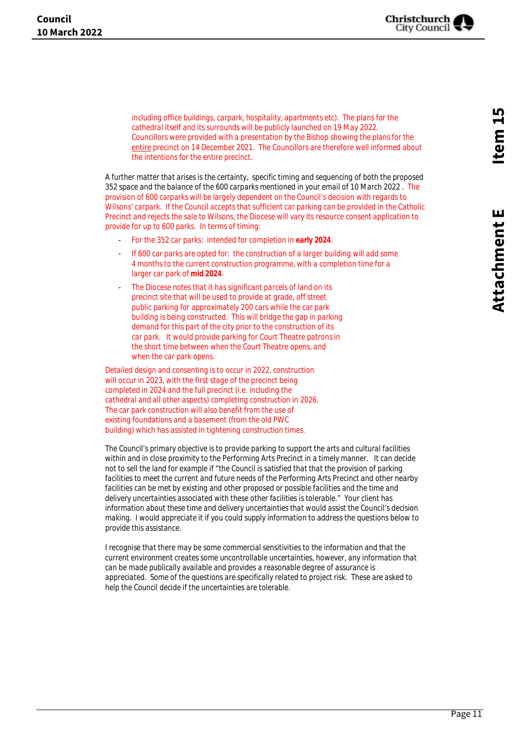*including office buildings, carpark, hospitality, apartments etc). The plans for the cathedral itself and its surrounds will be publicly launched on 19 May 2022. Councillors were provided with a presentation by the Bishop showing the plans for the entire precinct on 14 December 2021. The Councillors are therefore well informed about the intentions for the entire precinct.*

*A further matter that arises is the certainty, specific timing and sequencing of both the proposed 352 space and the balance of the 600 carparks mentioned in your email of 10 March 2022 . The provision of 600 carparks will be largely dependent on the Council's decision with regards to Wilsons' carpark. If the Council accepts that sufficient car parking can be provided in the Catholic Precinct and rejects the sale to Wilsons, the Diocese will vary its resource consent application to provide for up to 600 parks. In terms of timing:*

- *For the 352 car parks: intended for completion in early 2024.*
- *If 600 car parks are opted for: the construction of a larger building will add some 4 months to the current construction programme, with a completion time for a larger car park of mid 2024.*
- *The Diocese notes that it has significant parcels of land on its precinct site that will be used to provide at grade, off street public parking for approximately 200 cars while the car park building is being constructed. This will bridge the gap in parking demand for this part of the city prior to the construction of its car park. It would provide parking for Court Theatre patrons in the short time between when the Court Theatre opens, and when the car park opens.*

*Detailed design and consenting is to occur in 2022, construction will occur in 2023, with the first stage of the precinct being completed in 2024 and the full precinct (i.e. including the cathedral and all other aspects) completing construction in 2026. The car park construction will also benefit from the use of existing foundations and a basement (from the old PWC building) which has assisted in tightening construction times.*

*The Council's primary objective is to provide parking to support the arts and cultural facilities within and in close proximity to the Performing Arts Precinct in a timely manner. It can decide not to sell the land for example if "the Council is satisfied that that the provision of parking facilities to meet the current and future needs of the Performing Arts Precinct and other nearby facilities can be met by existing and other proposed or possible facilities and the time and delivery uncertainties associated with these other facilities is tolerable." Your client has information about these time and delivery uncertainties that would assist the Council's decision making. I would appreciate it if you could supply information to address the questions below to provide this assistance.*

*I recognise that there may be some commercial sensitivities to the information and that the current environment creates some uncontrollable uncertainties, however, any information that can be made publically available and provides a reasonable degree of assurance is appreciated. Some of the questions are specifically related to project risk. These are asked to help the Council decide if the uncertainties are tolerable.*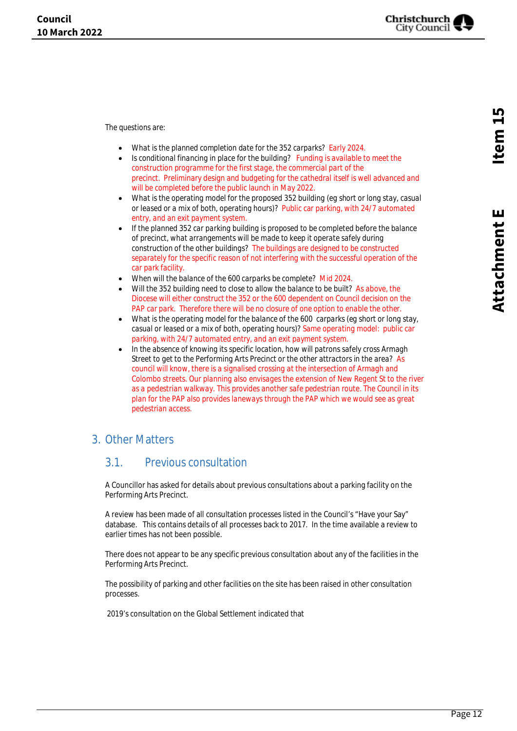*The questions are:*

- *What is the planned completion date for the 352 carparks? Early 2024.*
- *Is conditional financing in place for the building? Funding is available to meet the construction programme for the first stage, the commercial part of the precinct. Preliminary design and budgeting for the cathedral itself is well advanced and will be completed before the public launch in May 2022.*
- *What is the operating model for the proposed 352 building (eg short or long stay, casual or leased or a mix of both, operating hours)? Public car parking, with 24/7 automated entry, and an exit payment system.*
- *If the planned 352 car parking building is proposed to be completed before the balance of precinct, what arrangements will be made to keep it operate safely during construction of the other buildings? The buildings are designed to be constructed separately for the specific reason of not interfering with the successful operation of the car park facility.*
- *When will the balance of the 600 carparks be complete? Mid 2024.*
- *Will the 352 building need to close to allow the balance to be built? As above, the Diocese will either construct the 352 or the 600 dependent on Council decision on the PAP car park. Therefore there will be no closure of one option to enable the other.*
- *What is the operating model for the balance of the 600 carparks (eg short or long stay, casual or leased or a mix of both, operating hours)? Same operating model: public car parking, with 24/7 automated entry, and an exit payment system.*
- *In the absence of knowing its specific location, how will patrons safely cross Armagh Street to get to the Performing Arts Precinct or the other attractors in the area? As council will know, there is a signalised crossing at the intersection of Armagh and Colombo streets. Our planning also envisages the extension of New Regent St to the river as a pedestrian walkway. This provides another safe pedestrian route. The Council in its plan for the PAP also provides laneways through the PAP which we would see as great pedestrian access.*

### 3. Other Matters

### 3.1. Previous consultation

A Councillor has asked for details about previous consultations about a parking facility on the Performing Arts Precinct.

A review has been made of all consultation processes listed in the Council's "Have your Say" database. This contains details of all processes back to 2017. In the time available a review to earlier times has not been possible.

There does not appear to be any specific previous consultation about any of the facilities in the Performing Arts Precinct.

The possibility of parking and other facilities on the site has been raised in other consultation processes.

2019's consultation on the Global Settlement indicated that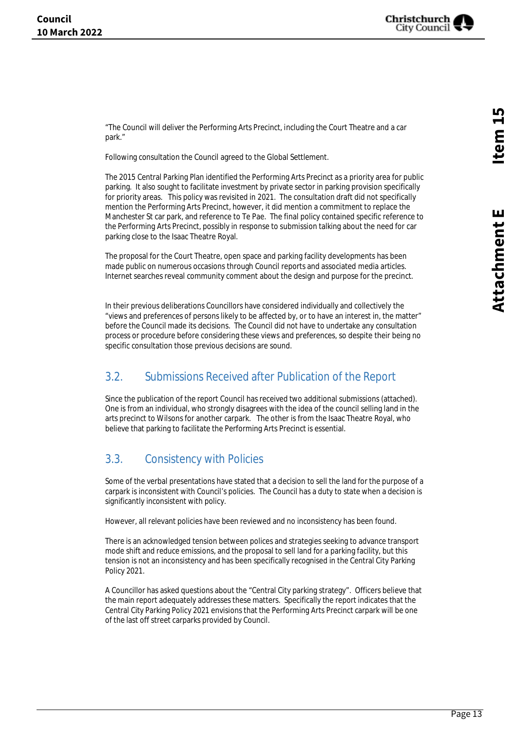"The Council will deliver the Performing Arts Precinct, including the Court Theatre and a car park."

Following consultation the Council agreed to the Global Settlement.

The 2015 Central Parking Plan identified the Performing Arts Precinct as a priority area for public parking. It also sought to facilitate investment by private sector in parking provision specifically for priority areas. This policy was revisited in 2021. The consultation draft did not specifically mention the Performing Arts Precinct, however, it did mention a commitment to replace the Manchester St car park, and reference to Te Pae. The final policy contained specific reference to the Performing Arts Precinct, possibly in response to submission talking about the need for car parking close to the Isaac Theatre Royal.

The proposal for the Court Theatre, open space and parking facility developments has been made public on numerous occasions through Council reports and associated media articles. Internet searches reveal community comment about the design and purpose for the precinct.

In their previous deliberations Councillors have considered individually and collectively the "views and preferences of persons likely to be affected by, or to have an interest in, the matter" before the Council made its decisions. The Council did not have to undertake any consultation process or procedure before considering these views and preferences, so despite their being no specific consultation those previous decisions are sound.

### 3.2. Submissions Received after Publication of the Report

Since the publication of the report Council has received two additional submissions (attached). One is from an individual, who strongly disagrees with the idea of the council selling land in the arts precinct to Wilsons for another carpark. The other is from the Isaac Theatre Royal, who believe that parking to facilitate the Performing Arts Precinct is essential.

### 3.3. Consistency with Policies

Some of the verbal presentations have stated that a decision to sell the land for the purpose of a carpark is inconsistent with Council's policies. The Council has a duty to state when a decision is significantly inconsistent with policy.

However, all relevant policies have been reviewed and no inconsistency has been found.

There is an acknowledged tension between polices and strategies seeking to advance transport mode shift and reduce emissions, and the proposal to sell land for a parking facility, but this tension is not an inconsistency and has been specifically recognised in the Central City Parking Policy 2021.

A Councillor has asked questions about the "Central City parking strategy". Officers believe that the main report adequately addresses these matters. Specifically the report indicates that the Central City Parking Policy 2021 envisions that the Performing Arts Precinct carpark will be one of the last off street carparks provided by Council.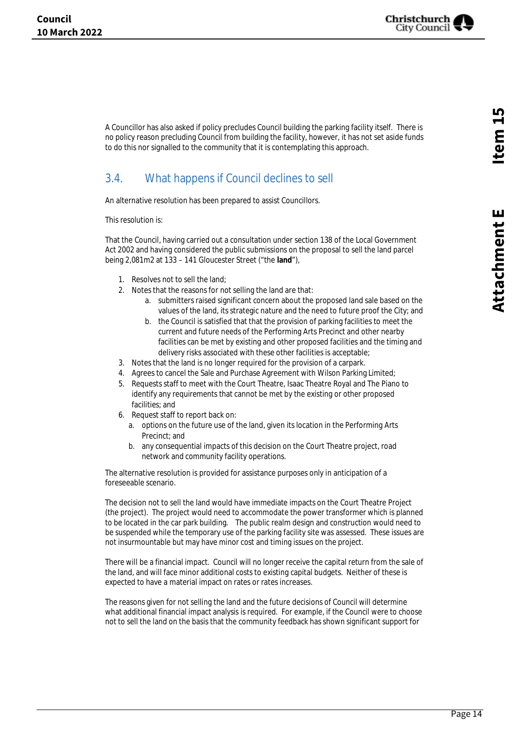A Councillor has also asked if policy precludes Council building the parking facility itself. There is no policy reason precluding Council from building the facility, however, it has not set aside funds to do this nor signalled to the community that it is contemplating this approach.

### 3.4. What happens if Council declines to sell

An alternative resolution has been prepared to assist Councillors.

This resolution is:

That the Council, having carried out a consultation under section 138 of the Local Government Act 2002 and having considered the public submissions on the proposal to sell the land parcel being 2,081m2 at 133 – 141 Gloucester Street ("the **land**"),

- 1. Resolves not to sell the land;
- 2. Notes that the reasons for not selling the land are that:
	- a. submitters raised significant concern about the proposed land sale based on the values of the land, its strategic nature and the need to future proof the City; and
	- b. the Council is satisfied that that the provision of parking facilities to meet the current and future needs of the Performing Arts Precinct and other nearby facilities can be met by existing and other proposed facilities and the timing and delivery risks associated with these other facilities is acceptable;
- 3. Notes that the land is no longer required for the provision of a carpark.
- 4. Agrees to cancel the Sale and Purchase Agreement with Wilson Parking Limited;
- 5. Requests staff to meet with the Court Theatre, Isaac Theatre Royal and The Piano to identify any requirements that cannot be met by the existing or other proposed facilities; and
- 6. Request staff to report back on:
	- a. options on the future use of the land, given its location in the Performing Arts Precinct; and
	- b. any consequential impacts of this decision on the Court Theatre project, road network and community facility operations.

The alternative resolution is provided for assistance purposes only in anticipation of a foreseeable scenario.

The decision not to sell the land would have immediate impacts on the Court Theatre Project (the project). The project would need to accommodate the power transformer which is planned to be located in the car park building. The public realm design and construction would need to be suspended while the temporary use of the parking facility site was assessed. These issues are not insurmountable but may have minor cost and timing issues on the project.

There will be a financial impact. Council will no longer receive the capital return from the sale of the land, and will face minor additional costs to existing capital budgets. Neither of these is expected to have a material impact on rates or rates increases.

The reasons given for not selling the land and the future decisions of Council will determine what additional financial impact analysis is required. For example, if the Council were to choose not to sell the land on the basis that the community feedback has shown significant support for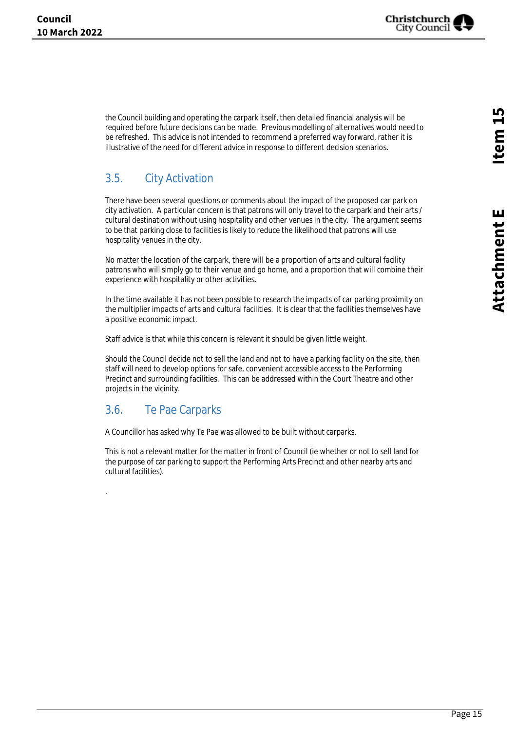the Council building and operating the carpark itself, then detailed financial analysis will be required before future decisions can be made. Previous modelling of alternatives would need to be refreshed. This advice is not intended to recommend a preferred way forward, rather it is illustrative of the need for different advice in response to different decision scenarios.

### 3.5. City Activation

There have been several questions or comments about the impact of the proposed car park on city activation. A particular concern is that patrons will only travel to the carpark and their arts / cultural destination without using hospitality and other venues in the city. The argument seems to be that parking close to facilities is likely to reduce the likelihood that patrons will use hospitality venues in the city.

No matter the location of the carpark, there will be a proportion of arts and cultural facility patrons who will simply go to their venue and go home, and a proportion that will combine their experience with hospitality or other activities.

In the time available it has not been possible to research the impacts of car parking proximity on the multiplier impacts of arts and cultural facilities. It is clear that the facilities themselves have a positive economic impact.

Staff advice is that while this concern is relevant it should be given little weight.

Should the Council decide not to sell the land and not to have a parking facility on the site, then staff will need to develop options for safe, convenient accessible access to the Performing Precinct and surrounding facilities. This can be addressed within the Court Theatre and other projects in the vicinity.

### 3.6. Te Pae Carparks

.

A Councillor has asked why Te Pae was allowed to be built without carparks.

This is not a relevant matter for the matter in front of Council (ie whether or not to sell land for the purpose of car parking to support the Performing Arts Precinct and other nearby arts and cultural facilities).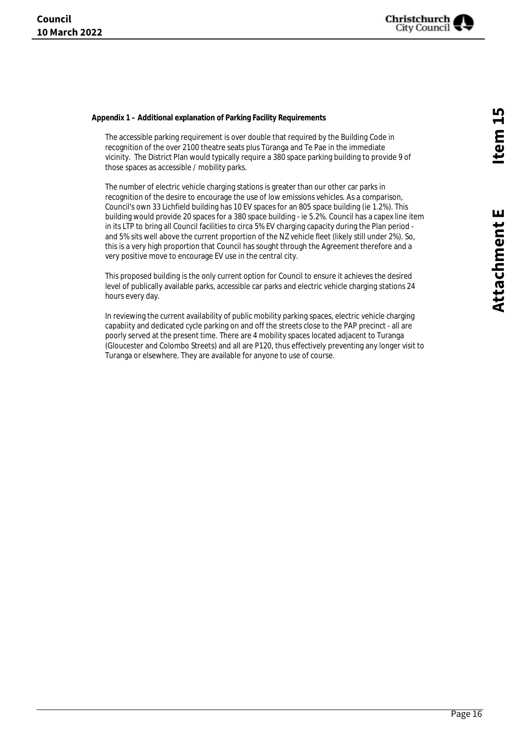**Appendix 1 – Additional explanation of Parking Facility Requirements**

The accessible parking requirement is over double that required by the Building Code in recognition of the over 2100 theatre seats plus T ūranga and Te Pae in the immediate vicinity. The District Plan would typically require a 380 space parking building to provide 9 of those spaces as accessible / mobility parks.

The number of electric vehicle charging stations is greater than our other car parks in recognition of the desire to encourage the use of low emissions vehicles. As a comparison, Council's own 33 Lichfield building has 10 EV spaces for an 805 space building (ie 1.2%). This building would provide 20 spaces for a 380 space building - ie 5.2%. Council has a capex line item in its LTP to bring all Council facilities to circa 5% EV charging capacity during the Plan period and 5% sits well above the current proportion of the NZ vehicle fleet (likely still under 2%). So, this is a very high proportion that Council has sought through the Agreement therefore and a very positive move to encourage EV use in the central city.

This proposed building is the only current option for Council to ensure it achieves the desired level of publically available parks, accessible car parks and electric vehicle charging stations 24 hours every day.

In reviewing the current availability of public mobility parking spaces, electric vehicle charging capabiity and dedicated cycle parking on and off the streets close to the PAP precinct - all are poorly served at the present time. There are 4 mobility spaces located adjacent to Turanga (Gloucester and Colombo Streets) and all are P120, thus effectively preventing any longer visit to Turanga or elsewhere. They are available for anyone to use of course.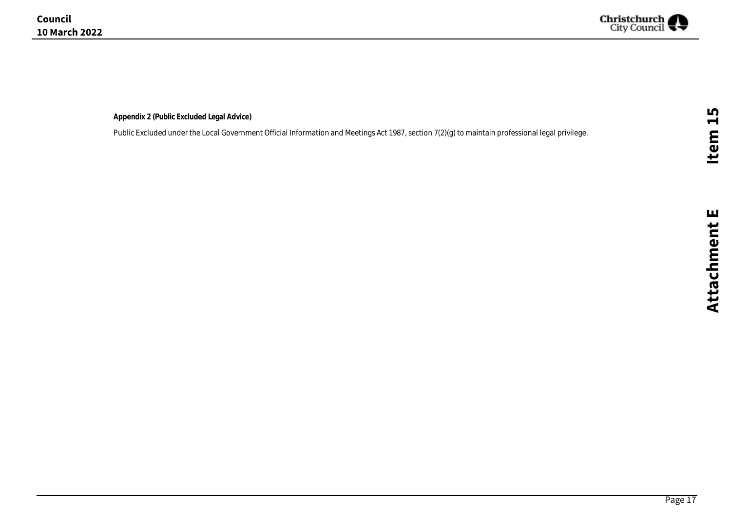

**Appendix 2 (Public Excluded Legal Advice)**

Public Excluded under the Local Government Official Information and Meetings Act 1987, section 7(2)(g) to maintain professional legal privilege.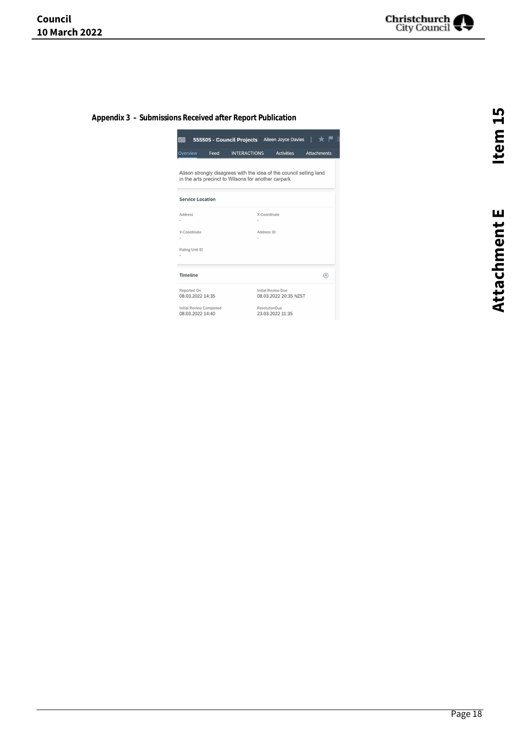### **Appendix 3 – Submissions Received after Report Publication**

| 澶                                                   |      | 555505 - Council Projects                                                                                                  |                           | <b>Aileen Joyce Davies</b> |                    | −★ 門 3 |
|-----------------------------------------------------|------|----------------------------------------------------------------------------------------------------------------------------|---------------------------|----------------------------|--------------------|--------|
| Overview                                            | Feed | <b>INTERACTIONS</b>                                                                                                        |                           | <b>Activities</b>          | <b>Attachments</b> |        |
|                                                     |      | Alison strongly disagrees with the idea of the council selling land<br>in the arts precinct to Wilsons for another carpark |                           |                            |                    |        |
| <b>Service Location</b>                             |      |                                                                                                                            |                           |                            |                    |        |
| Address                                             |      |                                                                                                                            | X-Coordinate              |                            |                    |        |
|                                                     |      |                                                                                                                            |                           |                            |                    |        |
| Y-Coordinate                                        |      |                                                                                                                            | Address ID                |                            |                    |        |
|                                                     |      |                                                                                                                            |                           |                            |                    |        |
| Rating Unit ID                                      |      |                                                                                                                            |                           |                            |                    |        |
| <b>Timeline</b>                                     |      |                                                                                                                            |                           |                            |                    | ଛ      |
| Reported On<br>08.03.2022 14:35                     |      |                                                                                                                            | <b>Initial Review Due</b> | 08.03.2022 20:35 NZST      |                    |        |
| <b>Initial Review Completed</b><br>08.03.2022 14:40 |      |                                                                                                                            | <b>ResolutionDue</b>      | 23.03.2022 11:35           |                    |        |